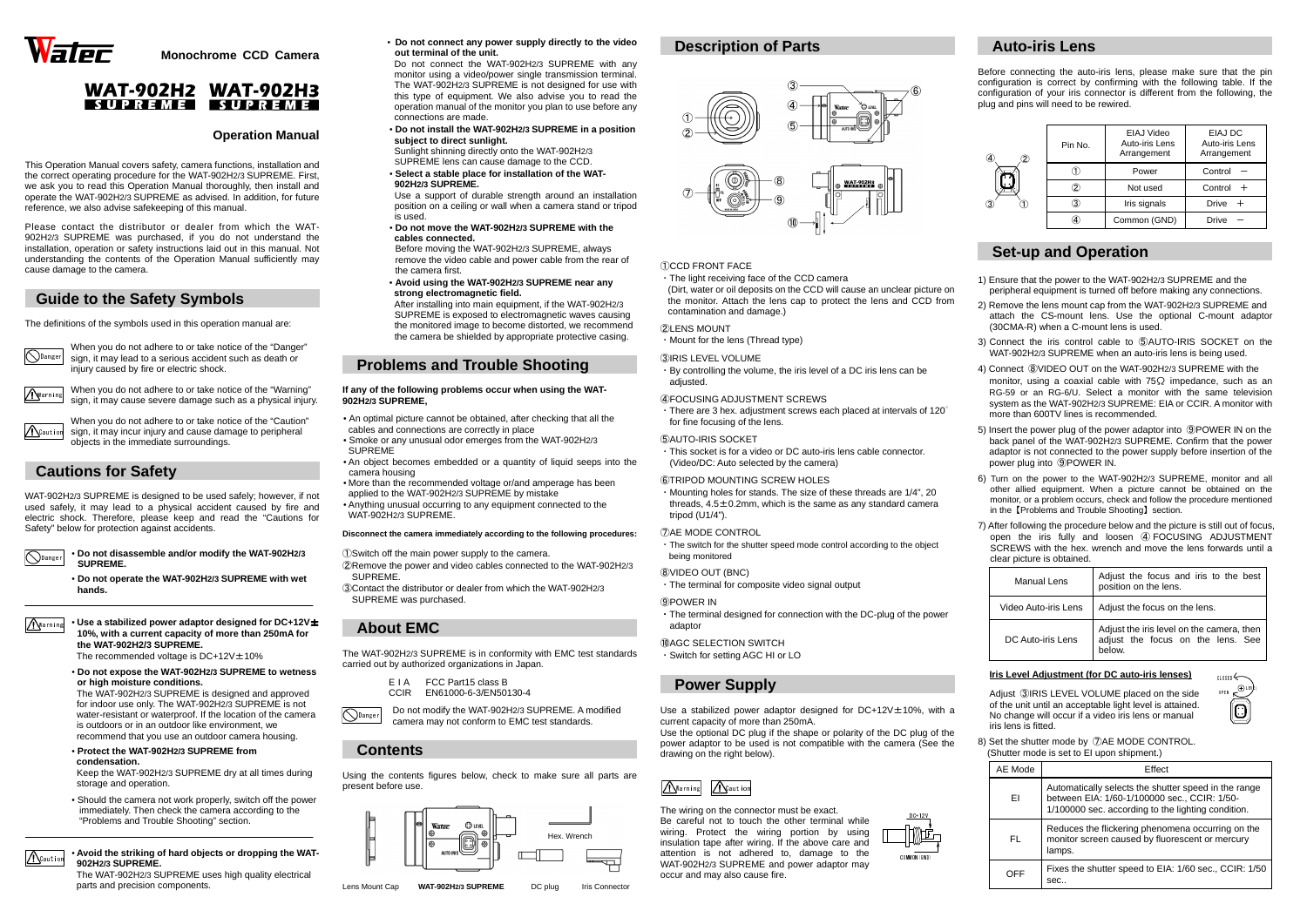





**Monochrome CCD Camera** 

# **WAT-902H2 WAT-902H3** SUPREME SUPREME

### **Operation Manual**

This Operation Manual covers safety, camera functions, installation and the correct operating procedure for the WAT-902H2/3 SUPREME. First, we ask you to read this Operation Manual thoroughly, then install and operate the WAT-902H2/3 SUPREME as advised. In addition, for future reference, we also advise safekeeping of this manual.

When you do not adhere to or take notice of the "Caution" sign, it may incur injury and cause damage to peripheral objects in the immediate surroundings. **A**Caution

Please contact the distributor or dealer from which the WAT-902H2/3 SUPREME was purchased, if you do not understand the installation, operation or safety instructions laid out in this manual. Not understanding the contents of the Operation Manual sufficiently may cause damage to the camera.

## **Guide to the Safety Symbols**

The definitions of the symbols used in this operation manual are:

**O**Danger

• **Use a stabilized power adaptor designed for DC+12V**<sup>±</sup>**10%, with a current capacity of more than 250mA for the WAT-902H2/3 SUPREME.** Marning

The recommended voltage is  $DC+12V \pm 10\%$ 

When you do not adhere to or take notice of the "Danger" sign, it may lead to a serious accident such as death or injury caused by fire or electric shock.

# **Cautions for Safety**

WAT-902H2/3 SUPREME is designed to be used safely; however, if not used safely, it may lead to a physical accident caused by fire and electric shock. Therefore, please keep and read the "Cautions for Safety" below for protection against accidents.

ODanger

**A**Caution

• **Do not disassemble and/or modify the WAT-902H2/3 SUPREME.**

• **Do not operate the WAT-902H2/3 SUPREME with wet ihands.** 

 • **Do not expose the WAT-902H2/3 SUPREME to wetness or high moisture conditions.** 

 The WAT-902H2/3 SUPREME is designed and approved for indoor use only. The WAT-902H2/3 SUPREME is not water-resistant or waterproof. If the location of the camera is outdoors or in an outdoor like environment, we recommend that you use an outdoor camera housing.

• **Protect the WAT-902H2/3 SUPREME from condensation.** 

 Keep the WAT-902H2/3 SUPREME dry at all times during storage and operation.

 • Should the camera not work properly, switch off the power immediately. Then check the camera according to the "Problems and Trouble Shooting" section.

#### • **Avoid the striking of hard objects or dropping the WAT-902H2/3 SUPREME.**

**O**Danger Do not modify the WAT-902H2/3 SUPREME. A modified camera may not conform to EMC test standards.

 The WAT-902H2/3 SUPREME uses high quality electrical parts and precision components.

• <sup>i</sup>**Do not connect any power supply directly to the video out terminal of the unit.**

> ・By controlling the volume, the iris level of a DC iris lens can be adiusted.

 $\cdot$  There are 3 hex. adjustment screws each placed at intervals of 120 $^{\circ}$ for fine focusing of the lens.

**GAUTO-IRIS SOCKET** 

 Do not connect the WAT-902H2/3 SUPREME with any monitor using a video/power single transmission terminal. The WAT-902H2/3 SUPREME is not designed for use with this type of equipment. We also advise you to read the operation manual of the monitor you plan to use before any connections are made.

 • **Do not install the WAT-902H2/3 SUPREME in a position subject to direct sunlight.** 

 Sunlight shinning directly onto the WAT-902H2/3 SUPREME lens can cause damage to the CCD.

 • **Select a stable place for installation of the WAT-902H2/3 SUPREME.** 

 Use a support of durable strength around an installation position on a ceiling or wall when a camera stand or tripod is used.

 • **Do not move the WAT-902H2/3 SUPREME with the cables connected.** 

 Before moving the WAT-902H2/3 SUPREME, always remove the video cable and power cable from the rear of the camera first.

 • **Avoid using the WAT-902H2/3 SUPREME near any strong electromagnetic field.** 

 After installing into main equipment, if the WAT-902H2/3 SUPREME is exposed to electromagnetic waves causing the monitored image to become distorted, we recommend the camera be shielded by appropriate protective casing.

## **Problems and Trouble Shooting**

#### **If any of the following problems occur when using the WAT-902H2/3 SUPREME,**

- An optimal picture cannot be obtained, after checking that all the cables and connections are correctly in place
- Smoke or any unusual odor emerges from the WAT-902H2/3 SUPREME
- An object becomes embedded or a quantity of liquid seeps into the camera housing
- More than the recommended voltage or/and amperage has been applied to the WAT-902H2/3 SUPREME by mistake
- Anything unusual occurring to any equipment connected to the WAT-902H2/3 SUPREME.

### **Disconnect the camera immediately according to the following procedures:**

①Switch off the main power supply to the camera.

- ②Remove the power and video cables connected to the WAT-902H2/3 SUPREME.
- ③Contact the distributor or dealer from which the WAT-902H2/3 SUPREME was purchased.

## **About EMC**

The WAT-902H2/3 SUPREME is in conformity with EMC test standards carried out by authorized organizations in Japan.

| FIA         | FCC Part15 class B    |
|-------------|-----------------------|
| <b>CCIR</b> | EN61000-6-3/EN50130-4 |

## **Contents**

Using the contents figures below, check to make sure all parts are present before use.

Lens Mount Cap

**WAT-902H2/3 SUPREME** DC plug

Iris Connector

## **Description of Parts**

When you do not adhere to or take notice of the "Warning" sign, it may cause severe damage such as a physical injury. Warning

・Mount for the lens (Thread type)

#### ③IRIS LEVEL VOLUME

### ④FOCUSING ADJUSTMENT SCREWS



・This socket is for a video or DC auto-iris lens cable connector.

### ⑥TRIPOD MOUNTING SCREW HOLES

 ・Mounting holes for stands. The size of these threads are 1/4", 20 threads,  $4.5\pm0.2$ mm, which is the same as any standard camera tripod (U1/4").

### ⑦AE MODE CONTROL

being monitored

### ⑧VIDEO OUT (BNC)

・The terminal for composite video signal output

#### ⑨POWER IN

・The terminal designed for connection with the DC-plug of the power adaptor

⑩AGC SELECTION SWITCH

・Switch for setting AGC HI or LO

# **Power Supply**

Use a stabilized power adaptor designed for DC+12V±10%, with a current capacity of more than 250mA.

 Use the optional DC plug if the shape or polarity of the DC plug of the power adaptor to be used is not compatible with the camera (See the drawing on the right below).

The wiring on the connector must be exact. Be careful not to touch the other terminal while wiring. Protect the wiring portion by using insulation tape after wiring. If the above care and attention is not adhered to, damage to the occur and may also cause fire.

# **Auto-iris Lens**

Before connecting the auto-iris lens, please make sure that the pin configuration is correct by confirming with the following table. If the configuration of your iris connector is different from the following, the plug and pins will need to be rewired.

| Pin No. | EIAJ Video<br>Auto-iris Lens<br>Arrangement | EIAJ DC<br>Auto-iris Lens<br>Arrangement |  |
|---------|---------------------------------------------|------------------------------------------|--|
|         | Power                                       | Control                                  |  |
|         | Not used                                    | Control $+$                              |  |
| З       | Iris signals                                | Drive<br>$^{+}$                          |  |
|         | Common (GND)                                | Drive                                    |  |

# **Set-up and Operation**

- 1) Ensure that the power to the WAT-902H2/3 SUPREME and the peripheral equipment is turned off before making any connections.
- 2) Remove the lens mount cap from the WAT-902H2/3 SUPREME and attach the CS-mount lens. Use the optional C-mount adaptor (30CMA-R) when a C-mount lens is used.
- 3) Connect the iris control cable to ⑤AUTO-IRIS SOCKET on the WAT-902H2/3 SUPREME when an auto-iris lens is being used.
- 4) Connect ⑧VIDEO OUT on the WAT-902H2/3 SUPREME with the monitor, using a coaxial cable with  $75\Omega$  impedance, such as an RG-59 or an RG-6/U. Select a monitor with the same television system as the WAT-902H2/3 SUPREME: EIA or CCIR. A monitor with more than 600TV lines is recommended.
- 5) Insert the power plug of the power adaptor into ⑨POWER IN on the back panel of the WAT-902H2/3 SUPREME. Confirm that the power adaptor is not connected to the power supply before insertion of the power plug into ⑨POWER IN.
- 6) Turn on the power to the WAT-902H2/3 SUPREME, monitor and all other allied equipment. When a picture cannot be obtained on the monitor, or a problem occurs, check and follow the procedure mentioned in the【Problems and Trouble Shooting】section.
- 7) After following the procedure below and the picture is still out of focus, open the iris fully and loosen ④ FOCUSING ADJUSTMENT<br>SCREWS with the hex wrench and move the lens forwards until a SCREWS with the hex. wrench and move the lens forwards until a clear picture is obtained.



| Manual Lens          | Adjust the focus and iris to the best<br>position on the lens.                           |  |  |
|----------------------|------------------------------------------------------------------------------------------|--|--|
| Video Auto-iris Lens | Adjust the focus on the lens.                                                            |  |  |
| DC Auto-iris Lens    | Adjust the iris level on the camera, then<br>adjust the focus on the lens. See<br>helow. |  |  |

### **Iris Level Adjustment (for DC auto-iris lenses)**

Adjust ③IRIS LEVEL VOLUME placed on the side of the unit until an acceptable light level is attained. No change will occur if a video iris lens or manual iris lens is fitted.

8) Set the shutter mode by ⑦AE MODE CONTROL. (Shutter mode is set to EI upon shipment.)

| AE Mode | Effect                                                                                                                                                     |  |
|---------|------------------------------------------------------------------------------------------------------------------------------------------------------------|--|
| FΙ      | Automatically selects the shutter speed in the range<br>between EIA: 1/60-1/100000 sec., CCIR: 1/50-<br>1/100000 sec. according to the lighting condition. |  |
| FL      | Reduces the flickering phenomena occurring on the<br>monitor screen caused by fluorescent or mercury<br>lamps.                                             |  |
| OFF     | Fixes the shutter speed to EIA: 1/60 sec., CCIR: 1/50<br>sec                                                                                               |  |